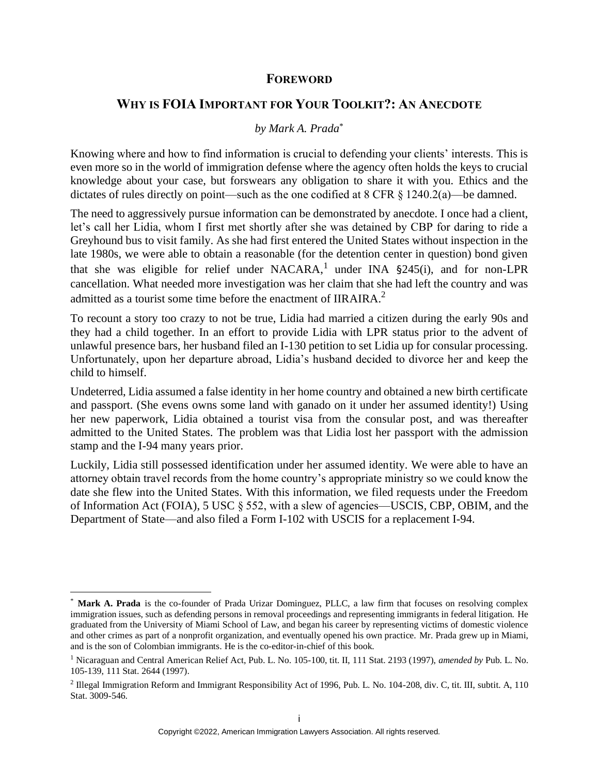## **FOREWORD**

## **WHY IS FOIA IMPORTANT FOR YOUR TOOLKIT?: AN ANECDOTE**

## *by Mark A. Prada*\*

Knowing where and how to find information is crucial to defending your clients' interests. This is even more so in the world of immigration defense where the agency often holds the keys to crucial knowledge about your case, but forswears any obligation to share it with you. Ethics and the dictates of rules directly on point—such as the one codified at  $8 \text{ CFR } 8 \text{ 1240.2(a)}$ —be damned.

The need to aggressively pursue information can be demonstrated by anecdote. I once had a client, let's call her Lidia, whom I first met shortly after she was detained by CBP for daring to ride a Greyhound bus to visit family. As she had first entered the United States without inspection in the late 1980s, we were able to obtain a reasonable (for the detention center in question) bond given that she was eligible for relief under NACARA,<sup>1</sup> under INA  $\S$ 245(i), and for non-LPR cancellation. What needed more investigation was her claim that she had left the country and was admitted as a tourist some time before the enactment of IIRAIRA. $<sup>2</sup>$ </sup>

To recount a story too crazy to not be true, Lidia had married a citizen during the early 90s and they had a child together. In an effort to provide Lidia with LPR status prior to the advent of unlawful presence bars, her husband filed an I-130 petition to set Lidia up for consular processing. Unfortunately, upon her departure abroad, Lidia's husband decided to divorce her and keep the child to himself.

Undeterred, Lidia assumed a false identity in her home country and obtained a new birth certificate and passport. (She evens owns some land with ganado on it under her assumed identity!) Using her new paperwork, Lidia obtained a tourist visa from the consular post, and was thereafter admitted to the United States. The problem was that Lidia lost her passport with the admission stamp and the I-94 many years prior.

Luckily, Lidia still possessed identification under her assumed identity. We were able to have an attorney obtain travel records from the home country's appropriate ministry so we could know the date she flew into the United States. With this information, we filed requests under the Freedom of Information Act (FOIA), 5 USC § 552, with a slew of agencies—USCIS, CBP, OBIM, and the Department of State—and also filed a Form I-102 with USCIS for a replacement I-94.

<sup>\*</sup> **Mark A. Prada** is the co-founder of Prada Urizar Dominguez, PLLC, a law firm that focuses on resolving complex immigration issues, such as defending persons in removal proceedings and representing immigrants in federal litigation. He graduated from the University of Miami School of Law, and began his career by representing victims of domestic violence and other crimes as part of a nonprofit organization, and eventually opened his own practice. Mr. Prada grew up in Miami, and is the son of Colombian immigrants. He is the co-editor-in-chief of this book.

<sup>1</sup> Nicaraguan and Central American Relief Act, Pub. L. No. 105-100, tit. II, 111 Stat. 2193 (1997), *amended by* Pub. L. No. 105-139, 111 Stat. 2644 (1997).

 $2$  Illegal Immigration Reform and Immigrant Responsibility Act of 1996, Pub. L. No. 104-208, div. C, tit. III, subtit. A, 110 Stat. 3009-546.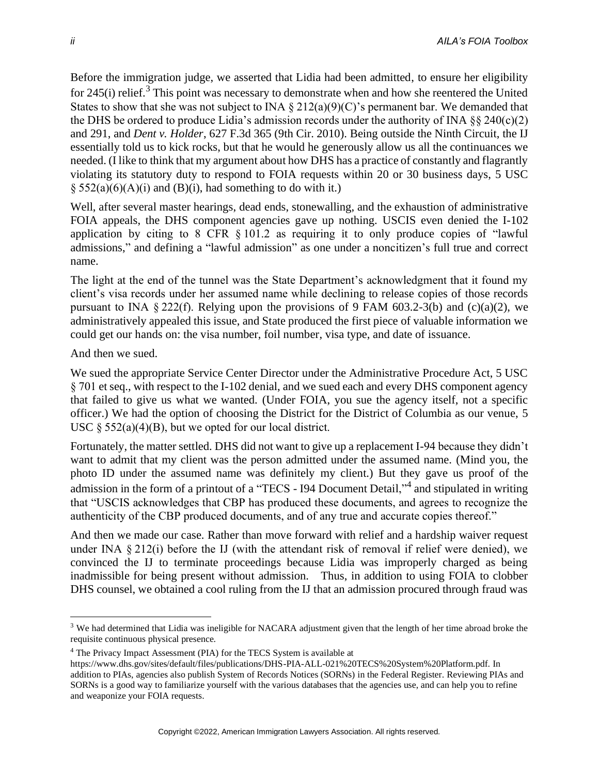Before the immigration judge, we asserted that Lidia had been admitted, to ensure her eligibility for 245(i) relief.<sup>3</sup> This point was necessary to demonstrate when and how she reentered the United States to show that she was not subject to INA  $\S 212(a)(9)(C)$ 's permanent bar. We demanded that the DHS be ordered to produce Lidia's admission records under the authority of INA  $\S$ § 240(c)(2) and 291, and *Dent v. Holder*, 627 F.3d 365 (9th Cir. 2010). Being outside the Ninth Circuit, the IJ essentially told us to kick rocks, but that he would he generously allow us all the continuances we needed. (I like to think that my argument about how DHS has a practice of constantly and flagrantly violating its statutory duty to respond to FOIA requests within 20 or 30 business days, 5 USC  $\S$  552(a)(6)(A)(i) and (B)(i), had something to do with it.)

Well, after several master hearings, dead ends, stonewalling, and the exhaustion of administrative FOIA appeals, the DHS component agencies gave up nothing. USCIS even denied the I-102 application by citing to 8 CFR § 101.2 as requiring it to only produce copies of "lawful admissions," and defining a "lawful admission" as one under a noncitizen's full true and correct name.

The light at the end of the tunnel was the State Department's acknowledgment that it found my client's visa records under her assumed name while declining to release copies of those records pursuant to INA § 222(f). Relying upon the provisions of 9 FAM 603.2-3(b) and (c)(a)(2), we administratively appealed this issue, and State produced the first piece of valuable information we could get our hands on: the visa number, foil number, visa type, and date of issuance.

And then we sued.

We sued the appropriate Service Center Director under the Administrative Procedure Act, 5 USC § 701 et seq., with respect to the I-102 denial, and we sued each and every DHS component agency that failed to give us what we wanted. (Under FOIA, you sue the agency itself, not a specific officer.) We had the option of choosing the District for the District of Columbia as our venue, 5 USC  $\S$  552(a)(4)(B), but we opted for our local district.

Fortunately, the matter settled. DHS did not want to give up a replacement I-94 because they didn't want to admit that my client was the person admitted under the assumed name. (Mind you, the photo ID under the assumed name was definitely my client.) But they gave us proof of the admission in the form of a printout of a "TECS - 194 Document Detail,"<sup>4</sup> and stipulated in writing that "USCIS acknowledges that CBP has produced these documents, and agrees to recognize the authenticity of the CBP produced documents, and of any true and accurate copies thereof."

And then we made our case. Rather than move forward with relief and a hardship waiver request under INA § 212(i) before the IJ (with the attendant risk of removal if relief were denied), we convinced the IJ to terminate proceedings because Lidia was improperly charged as being inadmissible for being present without admission. Thus, in addition to using FOIA to clobber DHS counsel, we obtained a cool ruling from the IJ that an admission procured through fraud was

<sup>&</sup>lt;sup>3</sup> We had determined that Lidia was ineligible for NACARA adjustment given that the length of her time abroad broke the requisite continuous physical presence.

<sup>4</sup> The Privacy Impact Assessment (PIA) for the TECS System is available at

https://www.dhs.gov/sites/default/files/publications/DHS-PIA-ALL-021%20TECS%20System%20Platform.pdf. In addition to PIAs, agencies also publish System of Records Notices (SORNs) in the Federal Register. Reviewing PIAs and SORNs is a good way to familiarize yourself with the various databases that the agencies use, and can help you to refine and weaponize your FOIA requests.